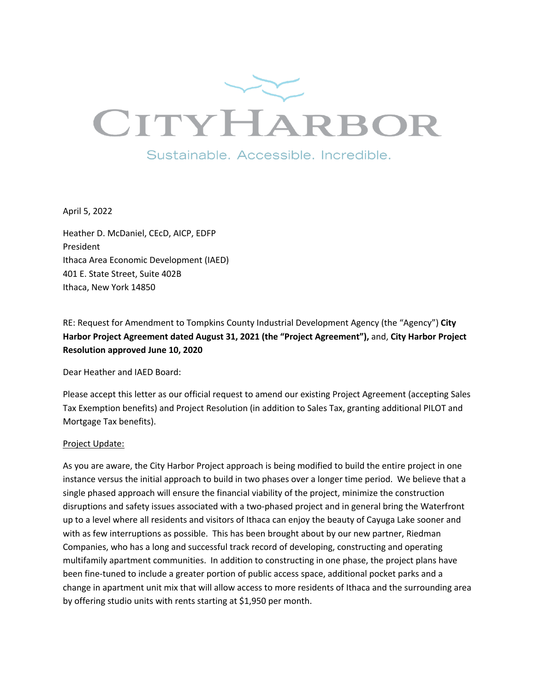

April 5, 2022

Heather D. McDaniel, CEcD, AICP, EDFP President Ithaca Area Economic Development (IAED) 401 E. State Street, Suite 402B Ithaca, New York 14850

RE: Request for Amendment to Tompkins County Industrial Development Agency (the "Agency") **City Harbor Project Agreement dated August 31, 2021 (the "Project Agreement"),** and, **City Harbor Project Resolution approved June 10, 2020**

Dear Heather and IAED Board:

Please accept this letter as our official request to amend our existing Project Agreement (accepting Sales Tax Exemption benefits) and Project Resolution (in addition to Sales Tax, granting additional PILOT and Mortgage Tax benefits).

#### Project Update:

As you are aware, the City Harbor Project approach is being modified to build the entire project in one instance versus the initial approach to build in two phases over a longer time period. We believe that a single phased approach will ensure the financial viability of the project, minimize the construction disruptions and safety issues associated with a two-phased project and in general bring the Waterfront up to a level where all residents and visitors of Ithaca can enjoy the beauty of Cayuga Lake sooner and with as few interruptions as possible. This has been brought about by our new partner, Riedman Companies, who has a long and successful track record of developing, constructing and operating multifamily apartment communities. In addition to constructing in one phase, the project plans have been fine-tuned to include a greater portion of public access space, additional pocket parks and a change in apartment unit mix that will allow access to more residents of Ithaca and the surrounding area by offering studio units with rents starting at \$1,950 per month.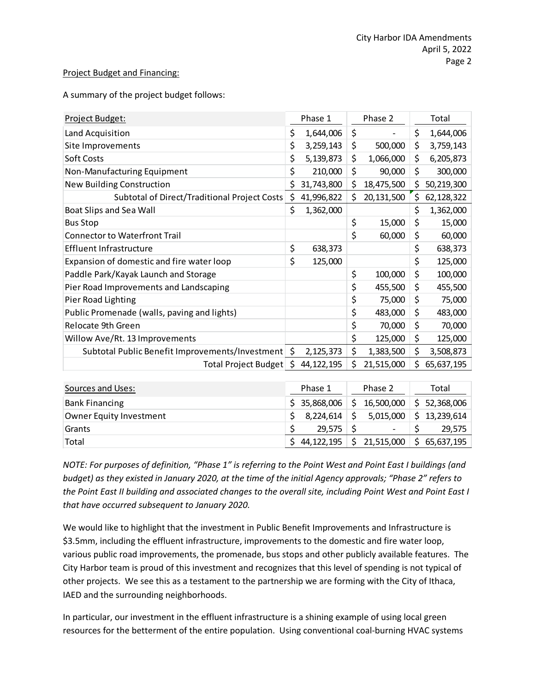#### Project Budget and Financing:

A summary of the project budget follows:

| Project Budget:                                 |    | Phase 1      |    | Phase 2    | Total            |
|-------------------------------------------------|----|--------------|----|------------|------------------|
| Land Acquisition                                | \$ | 1,644,006    | \$ |            | \$<br>1,644,006  |
| Site Improvements                               | \$ | 3,259,143    | \$ | 500,000    | \$<br>3,759,143  |
| Soft Costs                                      | \$ | 5,139,873    | \$ | 1,066,000  | \$<br>6,205,873  |
| Non-Manufacturing Equipment                     | \$ | 210,000      | \$ | 90,000     | \$<br>300,000    |
| New Building Construction                       | \$ | 31,743,800   | \$ | 18,475,500 | \$<br>50,219,300 |
| Subtotal of Direct/Traditional Project Costs    | \$ | 41,996,822   | \$ | 20,131,500 | \$<br>62,128,322 |
| Boat Slips and Sea Wall                         | \$ | 1,362,000    |    |            | \$<br>1,362,000  |
| <b>Bus Stop</b>                                 |    |              | \$ | 15,000     | \$<br>15,000     |
| <b>Connector to Waterfront Trail</b>            |    |              | \$ | 60,000     | \$<br>60,000     |
| Effluent Infrastructure                         | \$ | 638,373      |    |            | \$<br>638,373    |
| Expansion of domestic and fire water loop       | \$ | 125,000      |    |            | \$<br>125,000    |
| Paddle Park/Kayak Launch and Storage            |    |              | \$ | 100,000    | \$<br>100,000    |
| Pier Road Improvements and Landscaping          |    |              | \$ | 455,500    | \$<br>455,500    |
| Pier Road Lighting                              |    |              | \$ | 75,000     | \$<br>75,000     |
| Public Promenade (walls, paving and lights)     |    |              | \$ | 483,000    | \$<br>483,000    |
| Relocate 9th Green                              |    |              | \$ | 70,000     | \$<br>70,000     |
| Willow Ave/Rt. 13 Improvements                  |    |              | \$ | 125,000    | \$<br>125,000    |
| Subtotal Public Benefit Improvements/Investment | \$ | 2,125,373    | \$ | 1,383,500  | \$<br>3,508,873  |
| Total Project Budget                            | S. | 44, 122, 195 | Ś  | 21,515,000 | \$<br>65,637,195 |

| Sources and Uses:       | Phase 1      | Phase 2                  | Total            |
|-------------------------|--------------|--------------------------|------------------|
| <b>Bank Financing</b>   | \$35,868,006 | 16,500,000               | \$52,368,006     |
| Owner Equity Investment | 8,224,614    | 5,015,000                | 13,239,614<br>¢. |
| Grants                  | 29.575       | $\overline{\phantom{a}}$ | 29.575           |
| Total                   | 44,122,195   | 21,515,000               | 65,637,195       |

*NOTE: For purposes of definition, "Phase 1" is referring to the Point West and Point East I buildings (and budget) as they existed in January 2020, at the time of the initial Agency approvals; "Phase 2" refers to the Point East II building and associated changes to the overall site, including Point West and Point East I that have occurred subsequent to January 2020.*

We would like to highlight that the investment in Public Benefit Improvements and Infrastructure is \$3.5mm, including the effluent infrastructure, improvements to the domestic and fire water loop, various public road improvements, the promenade, bus stops and other publicly available features. The City Harbor team is proud of this investment and recognizes that this level of spending is not typical of other projects. We see this as a testament to the partnership we are forming with the City of Ithaca, IAED and the surrounding neighborhoods.

In particular, our investment in the effluent infrastructure is a shining example of using local green resources for the betterment of the entire population. Using conventional coal-burning HVAC systems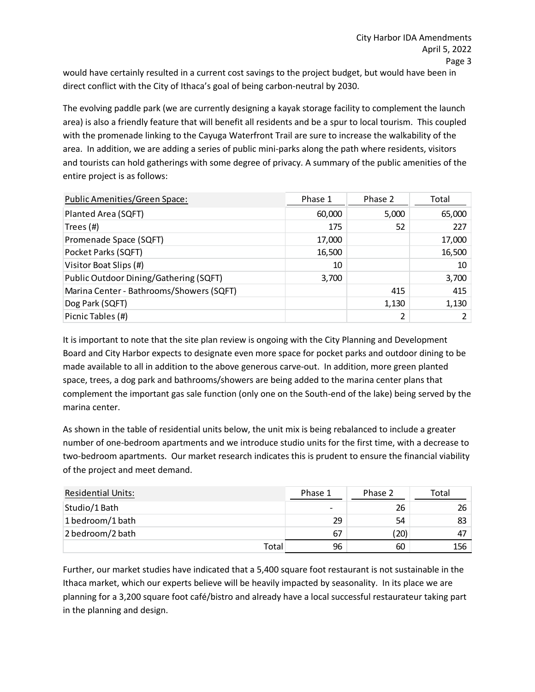would have certainly resulted in a current cost savings to the project budget, but would have been in direct conflict with the City of Ithaca's goal of being carbon-neutral by 2030.

The evolving paddle park (we are currently designing a kayak storage facility to complement the launch area) is also a friendly feature that will benefit all residents and be a spur to local tourism. This coupled with the promenade linking to the Cayuga Waterfront Trail are sure to increase the walkability of the area. In addition, we are adding a series of public mini-parks along the path where residents, visitors and tourists can hold gatherings with some degree of privacy. A summary of the public amenities of the entire project is as follows:

| Public Amenities/Green Space:            | Phase 1 | Phase 2 | Total  |
|------------------------------------------|---------|---------|--------|
| Planted Area (SQFT)                      | 60,000  | 5,000   | 65,000 |
| Trees (#)                                | 175     | 52      | 227    |
| Promenade Space (SQFT)                   | 17,000  |         | 17,000 |
| Pocket Parks (SQFT)                      | 16,500  |         | 16,500 |
| Visitor Boat Slips (#)                   | 10      |         | 10     |
| Public Outdoor Dining/Gathering (SQFT)   | 3,700   |         | 3,700  |
| Marina Center - Bathrooms/Showers (SQFT) |         | 415     | 415    |
| Dog Park (SQFT)                          |         | 1,130   | 1,130  |
| Picnic Tables (#)                        |         | 2       |        |

It is important to note that the site plan review is ongoing with the City Planning and Development Board and City Harbor expects to designate even more space for pocket parks and outdoor dining to be made available to all in addition to the above generous carve-out. In addition, more green planted space, trees, a dog park and bathrooms/showers are being added to the marina center plans that complement the important gas sale function (only one on the South-end of the lake) being served by the marina center.

As shown in the table of residential units below, the unit mix is being rebalanced to include a greater number of one-bedroom apartments and we introduce studio units for the first time, with a decrease to two-bedroom apartments. Our market research indicates this is prudent to ensure the financial viability of the project and meet demand.

| <b>Residential Units:</b> | Phase 1                  | Phase 2 | Total |
|---------------------------|--------------------------|---------|-------|
| Studio/1 Bath             | $\overline{\phantom{a}}$ | 26      | 26    |
| 1 bedroom/1 bath          | 29                       | 54      | 83    |
| 2 bedroom/2 bath          | 67                       | (20)    | 47    |
| Total                     | 96                       | 60      | 156   |

Further, our market studies have indicated that a 5,400 square foot restaurant is not sustainable in the Ithaca market, which our experts believe will be heavily impacted by seasonality. In its place we are planning for a 3,200 square foot café/bistro and already have a local successful restaurateur taking part in the planning and design.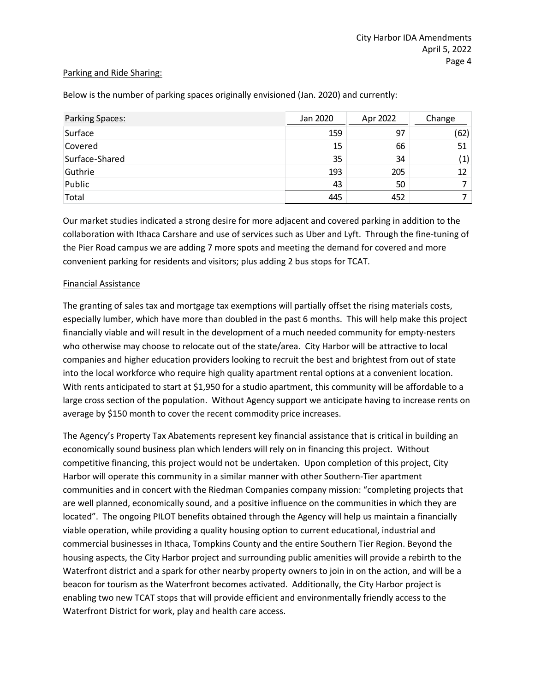#### Parking and Ride Sharing:

| Parking Spaces: | Jan 2020 | Apr 2022 | Change            |
|-----------------|----------|----------|-------------------|
| Surface         | 159      | 97       | (62)              |
| Covered         | 15       | 66       | 51                |
| Surface-Shared  | 35       | 34       | $\left( 1\right)$ |
| Guthrie         | 193      | 205      | 12                |
| Public          | 43       | 50       |                   |
| Total           | 445      | 452      |                   |

Below is the number of parking spaces originally envisioned (Jan. 2020) and currently:

Our market studies indicated a strong desire for more adjacent and covered parking in addition to the collaboration with Ithaca Carshare and use of services such as Uber and Lyft. Through the fine-tuning of the Pier Road campus we are adding 7 more spots and meeting the demand for covered and more convenient parking for residents and visitors; plus adding 2 bus stops for TCAT.

# Financial Assistance

The granting of sales tax and mortgage tax exemptions will partially offset the rising materials costs, especially lumber, which have more than doubled in the past 6 months. This will help make this project financially viable and will result in the development of a much needed community for empty-nesters who otherwise may choose to relocate out of the state/area. City Harbor will be attractive to local companies and higher education providers looking to recruit the best and brightest from out of state into the local workforce who require high quality apartment rental options at a convenient location. With rents anticipated to start at \$1,950 for a studio apartment, this community will be affordable to a large cross section of the population. Without Agency support we anticipate having to increase rents on average by \$150 month to cover the recent commodity price increases.

The Agency's Property Tax Abatements represent key financial assistance that is critical in building an economically sound business plan which lenders will rely on in financing this project. Without competitive financing, this project would not be undertaken. Upon completion of this project, City Harbor will operate this community in a similar manner with other Southern-Tier apartment communities and in concert with the Riedman Companies company mission: "completing projects that are well planned, economically sound, and a positive influence on the communities in which they are located". The ongoing PILOT benefits obtained through the Agency will help us maintain a financially viable operation, while providing a quality housing option to current educational, industrial and commercial businesses in Ithaca, Tompkins County and the entire Southern Tier Region. Beyond the housing aspects, the City Harbor project and surrounding public amenities will provide a rebirth to the Waterfront district and a spark for other nearby property owners to join in on the action, and will be a beacon for tourism as the Waterfront becomes activated. Additionally, the City Harbor project is enabling two new TCAT stops that will provide efficient and environmentally friendly access to the Waterfront District for work, play and health care access.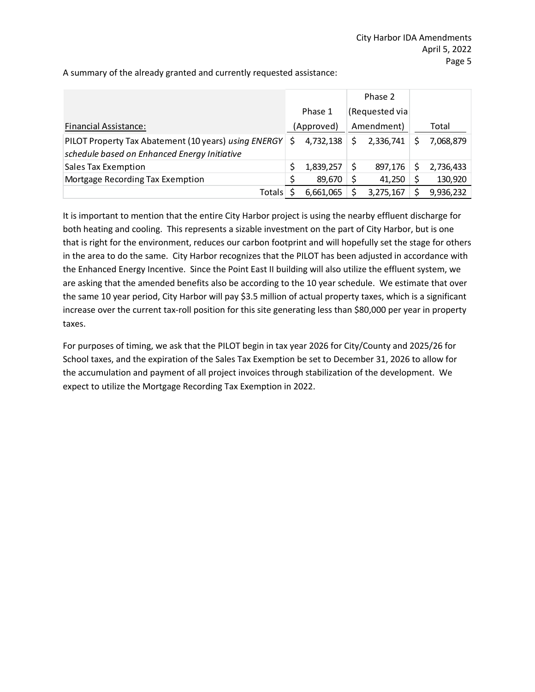|                                                      |   |            |    | Phase 2        |           |
|------------------------------------------------------|---|------------|----|----------------|-----------|
|                                                      |   | Phase 1    |    | (Requested via |           |
| <b>Financial Assistance:</b>                         |   | (Approved) |    | Amendment)     | Total     |
| PILOT Property Tax Abatement (10 years) using ENERGY | Ś | 4,732,138  | Ś. | 2,336,741      | 7,068,879 |
| schedule based on Enhanced Energy Initiative         |   |            |    |                |           |
| <b>Sales Tax Exemption</b>                           |   | 1,839,257  |    | 897,176        | 2,736,433 |
| Mortgage Recording Tax Exemption                     |   | 89,670     |    | 41,250         | 130,920   |
| <b>Totals</b>                                        |   | 6,661,065  |    | 3,275,167      | 9,936,232 |

A summary of the already granted and currently requested assistance:

It is important to mention that the entire City Harbor project is using the nearby effluent discharge for both heating and cooling. This represents a sizable investment on the part of City Harbor, but is one that is right for the environment, reduces our carbon footprint and will hopefully set the stage for others in the area to do the same. City Harbor recognizes that the PILOT has been adjusted in accordance with the Enhanced Energy Incentive. Since the Point East II building will also utilize the effluent system, we are asking that the amended benefits also be according to the 10 year schedule. We estimate that over the same 10 year period, City Harbor will pay \$3.5 million of actual property taxes, which is a significant increase over the current tax-roll position for this site generating less than \$80,000 per year in property taxes.

For purposes of timing, we ask that the PILOT begin in tax year 2026 for City/County and 2025/26 for School taxes, and the expiration of the Sales Tax Exemption be set to December 31, 2026 to allow for the accumulation and payment of all project invoices through stabilization of the development. We expect to utilize the Mortgage Recording Tax Exemption in 2022.